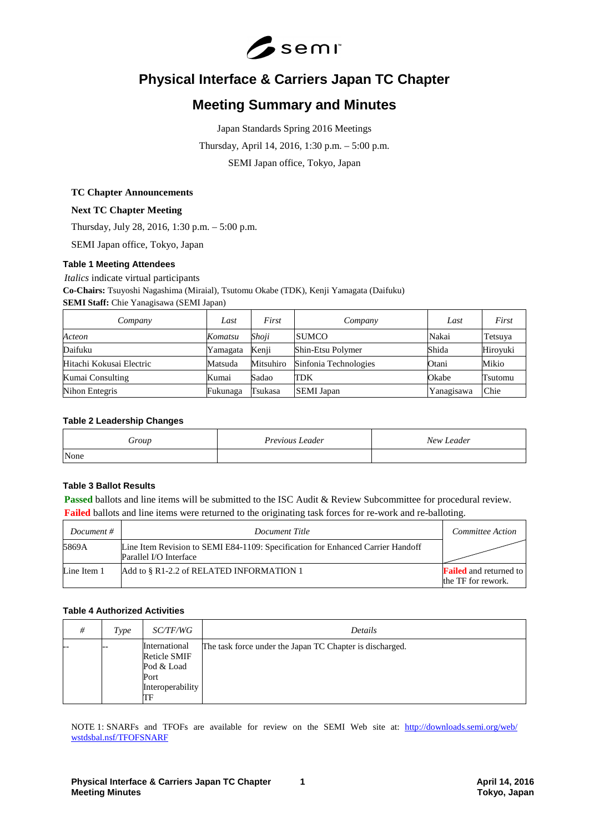

# **Physical Interface & Carriers Japan TC Chapter**

# **Meeting Summary and Minutes**

Japan Standards Spring 2016 Meetings Thursday, April 14, 2016, 1:30 p.m. – 5:00 p.m. SEMI Japan office, Tokyo, Japan

#### **TC Chapter Announcements**

## **Next TC Chapter Meeting**

Thursday, July 28, 2016, 1:30 p.m. – 5:00 p.m.

SEMI Japan office, Tokyo, Japan

#### **Table 1 Meeting Attendees**

*Italics* indicate virtual participants

**Co-Chairs:** Tsuyoshi Nagashima (Miraial), Tsutomu Okabe (TDK), Kenji Yamagata (Daifuku)

## **SEMI Staff:** Chie Yanagisawa (SEMI Japan)

| Company                  | Last     | First     | Company               | Last       | First    |
|--------------------------|----------|-----------|-----------------------|------------|----------|
| Acteon                   | Komatsu  | Shoji     | <b>SUMCO</b>          | Nakai      | Tetsuya  |
| Daifuku                  | Yamagata | Kenji     | Shin-Etsu Polymer     | Shida      | Hiroyuki |
| Hitachi Kokusai Electric | Matsuda  | Mitsuhiro | Sinfonia Technologies | Otani      | Mikio    |
| Kumai Consulting         | Kumai    | Sadao     | <b>TDK</b>            | Okabe      | Tsutomu  |
| Nihon Entegris           | Fukunaga | Tsukasa   | <b>SEMI</b> Japan     | Yanagisawa | Chie     |

# **Table 2 Leadership Changes**

| $\partial$ roup | Previous Leader | New Leader |
|-----------------|-----------------|------------|
| None            |                 |            |

# **Table 3 Ballot Results**

**Passed** ballots and line items will be submitted to the ISC Audit & Review Subcommittee for procedural review. **Failed** ballots and line items were returned to the originating task forces for re-work and re-balloting.

| Document #  | Document Title                                                                                            | Committee Action                                    |
|-------------|-----------------------------------------------------------------------------------------------------------|-----------------------------------------------------|
| 5869A       | Line Item Revision to SEMI E84-1109: Specification for Enhanced Carrier Handoff<br>Parallel I/O Interface |                                                     |
| Line Item 1 | Add to § R1-2.2 of RELATED INFORMATION 1                                                                  | <b>Failed</b> and returned to<br>the TF for rework. |

# **Table 4 Authorized Activities**

| #  | Type | <i>SC/TF/WG</i>                                                                      | Details                                                  |
|----|------|--------------------------------------------------------------------------------------|----------------------------------------------------------|
| -- |      | International<br><b>Reticle SMIF</b><br>Pod & Load<br>Port<br>Interoperability<br>TЕ | The task force under the Japan TC Chapter is discharged. |

NOTE 1: SNARFs and TFOFs are available for review on the SEMI Web site at: [http://downloads.semi.org/web/](http://downloads.semi.org/web/wstdsbal.nsf/TFOFSNARF) [wstdsbal.nsf/TFOFSNARF](http://downloads.semi.org/web/wstdsbal.nsf/TFOFSNARF)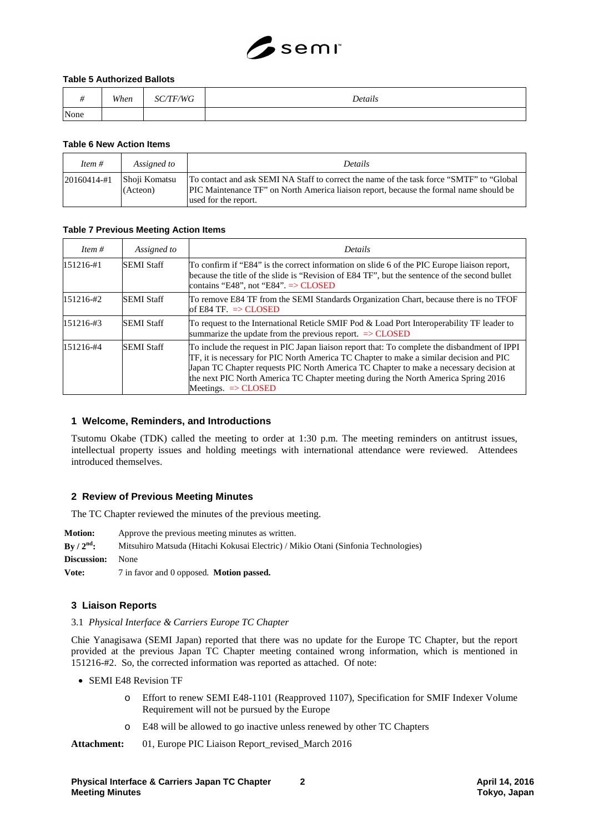# $S$ semi

#### **Table 5 Authorized Ballots**

|      | When | <b>/TF/WG</b><br>SС, | Details |
|------|------|----------------------|---------|
| None |      |                      |         |

#### **Table 6 New Action Items**

| Item $#$        | Assigned to               | <b>Details</b>                                                                                                                                                                                                     |
|-----------------|---------------------------|--------------------------------------------------------------------------------------------------------------------------------------------------------------------------------------------------------------------|
| $20160414 - #1$ | Shoji Komatsu<br>(Acteon) | To contact and ask SEMI NA Staff to correct the name of the task force "SMTF" to "Global"<br><b>PIC</b> Maintenance TF" on North America liaison report, because the formal name should be<br>used for the report. |

#### **Table 7 Previous Meeting Action Items**

| Item $#$      | Assigned to       | <b>Details</b>                                                                                                                                                                                                                                                                                                                                                                                            |
|---------------|-------------------|-----------------------------------------------------------------------------------------------------------------------------------------------------------------------------------------------------------------------------------------------------------------------------------------------------------------------------------------------------------------------------------------------------------|
| $151216 - #1$ | <b>SEMI Staff</b> | To confirm if "E84" is the correct information on slide 6 of the PIC Europe liaison report,<br>because the title of the slide is "Revision of E84 TF", but the sentence of the second bullet<br>contains "E48", not "E84". $\Rightarrow$ CLOSED                                                                                                                                                           |
| $151216 - 42$ | <b>SEMI Staff</b> | To remove E84 TF from the SEMI Standards Organization Chart, because there is no TFOF<br>of E84 TF. $\Rightarrow$ CLOSED                                                                                                                                                                                                                                                                                  |
| 151216-#3     | <b>SEMI Staff</b> | To request to the International Reticle SMIF Pod & Load Port Interoperability TF leader to<br>summarize the update from the previous report. $\Rightarrow$ CLOSED                                                                                                                                                                                                                                         |
| 151216-#4     | <b>SEMI Staff</b> | To include the request in PIC Japan liaison report that: To complete the disbandment of IPPI<br>TF, it is necessary for PIC North America TC Chapter to make a similar decision and PIC<br>Japan TC Chapter requests PIC North America TC Chapter to make a necessary decision at<br>the next PIC North America TC Chapter meeting during the North America Spring 2016<br>Meetings. $\Rightarrow$ CLOSED |

#### **1 Welcome, Reminders, and Introductions**

Tsutomu Okabe (TDK) called the meeting to order at 1:30 p.m. The meeting reminders on antitrust issues, intellectual property issues and holding meetings with international attendance were reviewed. Attendees introduced themselves.

#### **2 Review of Previous Meeting Minutes**

The TC Chapter reviewed the minutes of the previous meeting.

**Motion:** Approve the previous meeting minutes as written. **By / 2nd:** Mitsuhiro Matsuda (Hitachi Kokusai Electric) / Mikio Otani (Sinfonia Technologies) **Discussion:** None **Vote:** 7 in favor and 0 opposed. **Motion passed.**

#### **3 Liaison Reports**

3.1 *Physical Interface & Carriers Europe TC Chapter*

Chie Yanagisawa (SEMI Japan) reported that there was no update for the Europe TC Chapter, but the report provided at the previous Japan TC Chapter meeting contained wrong information, which is mentioned in 151216-#2. So, the corrected information was reported as attached. Of note:

- SEMI E48 Revision TF
	- o Effort to renew SEMI E48-1101 (Reapproved 1107), Specification for SMIF Indexer Volume Requirement will not be pursued by the Europe
	- o E48 will be allowed to go inactive unless renewed by other TC Chapters

Attachment: 01, Europe PIC Liaison Report revised March 2016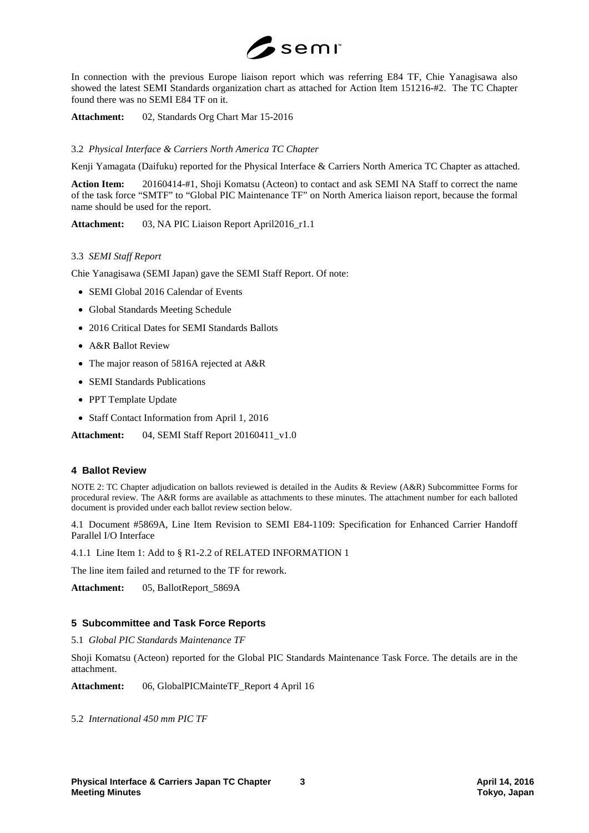

In connection with the previous Europe liaison report which was referring E84 TF, Chie Yanagisawa also showed the latest SEMI Standards organization chart as attached for Action Item 151216-#2. The TC Chapter found there was no SEMI E84 TF on it.

**Attachment:** 02, Standards Org Chart Mar 15-2016

#### 3.2 *Physical Interface & Carriers North America TC Chapter*

Kenji Yamagata (Daifuku) reported for the Physical Interface & Carriers North America TC Chapter as attached.

**Action Item:** 20160414-#1, Shoji Komatsu (Acteon) to contact and ask SEMI NA Staff to correct the name of the task force "SMTF" to "Global PIC Maintenance TF" on North America liaison report, because the formal name should be used for the report.

Attachment: 03, NA PIC Liaison Report April2016 r1.1

#### 3.3 *SEMI Staff Report*

Chie Yanagisawa (SEMI Japan) gave the SEMI Staff Report. Of note:

- SEMI Global 2016 Calendar of Events
- Global Standards Meeting Schedule
- 2016 Critical Dates for SEMI Standards Ballots
- A&R Ballot Review
- The major reason of 5816A rejected at A&R
- SEMI Standards Publications
- PPT Template Update
- Staff Contact Information from April 1, 2016

**Attachment:** 04, SEMI Staff Report 20160411\_v1.0

#### **4 Ballot Review**

NOTE 2: TC Chapter adjudication on ballots reviewed is detailed in the Audits & Review (A&R) Subcommittee Forms for procedural review. The A&R forms are available as attachments to these minutes. The attachment number for each balloted document is provided under each ballot review section below.

4.1 Document #5869A, Line Item Revision to SEMI E84-1109: Specification for Enhanced Carrier Handoff Parallel I/O Interface

4.1.1 Line Item 1: Add to § R1-2.2 of RELATED INFORMATION 1

The line item failed and returned to the TF for rework.

**Attachment:** 05, BallotReport\_5869A

#### **5 Subcommittee and Task Force Reports**

#### 5.1 *Global PIC Standards Maintenance TF*

Shoji Komatsu (Acteon) reported for the Global PIC Standards Maintenance Task Force. The details are in the attachment.

**Attachment:** 06, GlobalPICMainteTF\_Report 4 April 16

5.2 *International 450 mm PIC TF*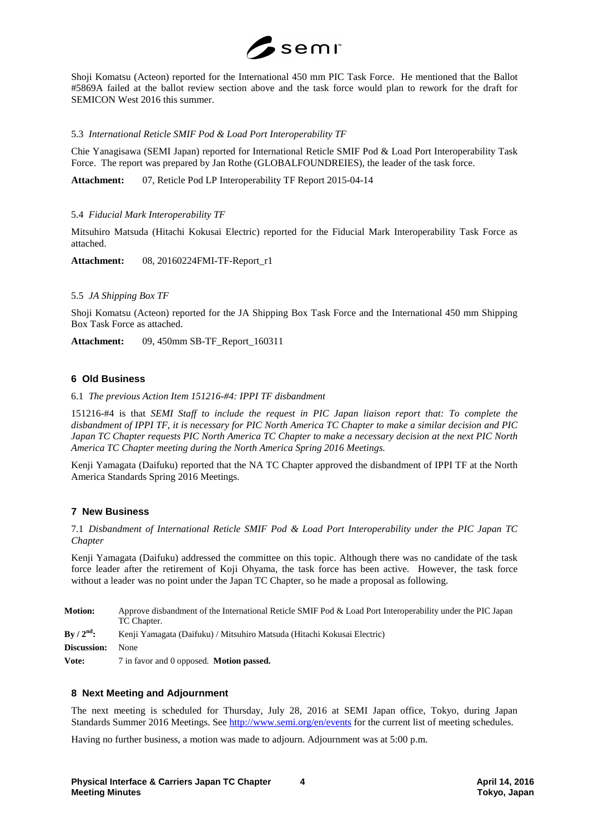

Shoji Komatsu (Acteon) reported for the International 450 mm PIC Task Force. He mentioned that the Ballot #5869A failed at the ballot review section above and the task force would plan to rework for the draft for SEMICON West 2016 this summer.

5.3 *International Reticle SMIF Pod & Load Port Interoperability TF*

Chie Yanagisawa (SEMI Japan) reported for International Reticle SMIF Pod & Load Port Interoperability Task Force. The report was prepared by Jan Rothe (GLOBALFOUNDREIES), the leader of the task force.

**Attachment:** 07, Reticle Pod LP Interoperability TF Report 2015-04-14

#### 5.4 *Fiducial Mark Interoperability TF*

Mitsuhiro Matsuda (Hitachi Kokusai Electric) reported for the Fiducial Mark Interoperability Task Force as attached.

**Attachment:** 08, 20160224FMI-TF-Report\_r1

#### 5.5 *JA Shipping Box TF*

Shoji Komatsu (Acteon) reported for the JA Shipping Box Task Force and the International 450 mm Shipping Box Task Force as attached.

**Attachment:** 09, 450mm SB-TF\_Report\_160311

#### **6 Old Business**

6.1 *The previous Action Item 151216-#4: IPPI TF disbandment*

151216-#4 is that *SEMI Staff to include the request in PIC Japan liaison report that: To complete the disbandment of IPPI TF, it is necessary for PIC North America TC Chapter to make a similar decision and PIC Japan TC Chapter requests PIC North America TC Chapter to make a necessary decision at the next PIC North America TC Chapter meeting during the North America Spring 2016 Meetings.* 

Kenji Yamagata (Daifuku) reported that the NA TC Chapter approved the disbandment of IPPI TF at the North America Standards Spring 2016 Meetings.

# **7 New Business**

7.1 *Disbandment of International Reticle SMIF Pod & Load Port Interoperability under the PIC Japan TC Chapter*

Kenji Yamagata (Daifuku) addressed the committee on this topic. Although there was no candidate of the task force leader after the retirement of Koji Ohyama, the task force has been active. However, the task force without a leader was no point under the Japan TC Chapter, so he made a proposal as following.

| <b>Motion:</b>         | Approve disbandment of the International Reticle SMIF Pod & Load Port Interoperability under the PIC Japan<br>TC Chapter. |
|------------------------|---------------------------------------------------------------------------------------------------------------------------|
| By / $2^{\text{nd}}$ : | Kenji Yamagata (Daifuku) / Mitsuhiro Matsuda (Hitachi Kokusai Electric)                                                   |
| <b>Discussion:</b>     | None                                                                                                                      |
| Vote:                  | 7 in favor and 0 opposed. <b>Motion passed.</b>                                                                           |

#### **8 Next Meeting and Adjournment**

The next meeting is scheduled for Thursday, July 28, 2016 at SEMI Japan office, Tokyo, during Japan Standards Summer 2016 Meetings. See<http://www.semi.org/en/events> for the current list of meeting schedules.

Having no further business, a motion was made to adjourn. Adjournment was at 5:00 p.m.